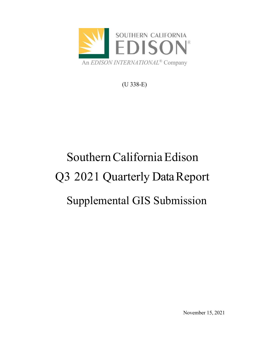

(U 338-E)

# Southern California Edison Q3 2021 Quarterly Data Report Supplemental GIS Submission

November 15, 2021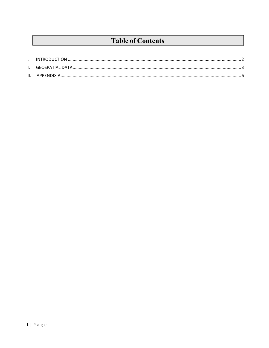## **Table of Contents**

| III. |  |
|------|--|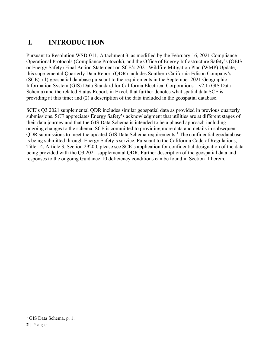## **I. INTRODUCTION**

Pursuant to Resolution WSD-011, Attachment 3, as modified by the February 16, 2021 Compliance Operational Protocols (Compliance Protocols), and the Office of Energy Infrastructure Safety's (OEIS or Energy Safety) Final Action Statement on SCE's 2021 Wildfire Mitigation Plan (WMP) Update, this supplemental Quarterly Data Report (QDR) includes Southern California Edison Company's (SCE): (1) geospatial database pursuant to the requirements in the September 2021 Geographic Information System (GIS) Data Standard for California Electrical Corporations – v2.1 (GIS Data Schema) and the related Status Report, in Excel, that further denotes what spatial data SCE is providing at this time; and (2) a description of the data included in the geospatial database.

SCE's Q3 2021 supplemental QDR includes similar geospatial data as provided in previous quarterly submissions. SCE appreciates Energy Safety's acknowledgment that utilities are at different stages of their data journey and that the GIS Data Schema is intended to be a phased approach including ongoing changes to the schema. SCE is committed to providing more data and details in subsequent QDR submissions to meet the updated GIS Data Schema requirements.<sup>1</sup> The confidential geodatabase is being submitted through Energy Safety's service. Pursuant to the California Code of Regulations, Title 14, Article 3, Section 29200, please see SCE's application for confidential designation of the data being provided with the Q3 2021 supplemental QDR. Further description of the geospatial data and responses to the ongoing Guidance-10 deficiency conditions can be found in Section II herein.

<sup>&</sup>lt;sup>1</sup> GIS Data Schema, p. 1.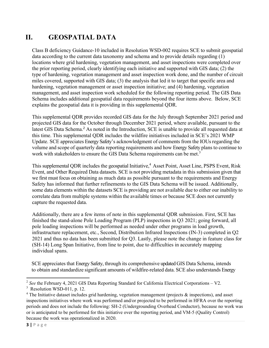### **II. GEOSPATIAL DATA**

Class B deficiency Guidance-10 included in Resolution WSD-002 requires SCE to submit geospatial data according to the current data taxonomy and schema and to provide details regarding (1) locations where grid hardening, vegetation management, and asset inspections were completed over the prior reporting period, clearly identifying each initiative and supported with GIS data; (2) the type of hardening, vegetation management and asset inspection work done, and the number of circuit miles covered, supported with GIS data; (3) the analysis that led it to target that specific area and hardening, vegetation management or asset inspection initiative; and (4) hardening, vegetation management, and asset inspection work scheduled for the following reporting period. The GIS Data Schema includes additional geospatial data requirements beyond the four items above. Below, SCE explains the geospatial data it is providing in this supplemental QDR.

This supplemental QDR provides recorded GIS data for the July through September 2021 period and projected GIS data for the October through December 2021 period, where available, pursuant to the latest GIS Data Schema.<sup>2</sup> As noted in the Introduction, SCE is unable to provide all requested data at this time. This supplemental QDR includes the wildfire initiatives included in SCE's 2021 WMP Update. SCE appreciates Energy Safety's acknowledgment of comments from the IOUs regarding the volume and scope of quarterly data reporting requirements and how Energy Safety plans to continue to work with stakeholders to ensure the GIS Data Schema requirements can be met.<sup>3</sup>

This supplemental QDR includes the geospatial Initiative,<sup>4</sup> Asset Point, Asset Line, PSPS Event, Risk Event, and Other Required Data datasets. SCE is not providing metadata in this submission given that we first must focus on obtaining as much data as possible pursuant to the requirements and Energy Safety has informed that further refinements to the GIS Data Schema will be issued. Additionally, some data elements within the datasets SCE is providing are not available due to either our inability to correlate data from multiple systems within the available times or because SCE does not currently capture the requested data.

Additionally, there are a few items of note in this supplemental QDR submission. First, SCE has finished the stand-alone Pole Loading Program (PLP) inspections in Q3 2021; going forward, all pole loading inspections will be performed as needed under other programs in load growth, infrastructure replacement, etc., Second, Distribution Infrared Inspections (IN-3) completed in Q2 2021 and thus no data has been submitted for Q3. Lastly, please note the change in feature class for (SH-14) Long Span Initiative, from line to point, due to difficulties in accurately mapping individual spans.

SCE appreciates that Energy Safety, through its comprehensive updated GIS Data Schema, intends to obtain and standardize significant amounts of wildfire-related data. SCE also understands Energy

<sup>&</sup>lt;sup>2</sup> See the February 4, 2021 GIS Data Reporting Standard for California Electrical Corporations – V2.

 $3$  Resolution WSD-011, p. 12.

 $4$  The Initiative dataset includes grid hardening, vegetation management (projects  $\&$  inspections), and asset inspections initiatives where work was performed and/or projected to be performed in HFRA over the reporting periods and does not include the following: SH-2 (Undergrounding Overhead Conductor), because no work was or is anticipated to be performed for this initiative over the reporting period, and VM-5 (Quality Control) because the work was operationalized in 2020.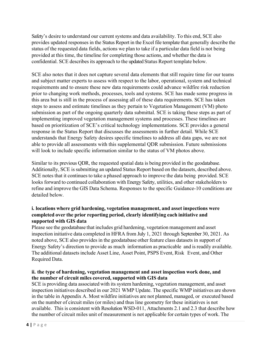Safety's desire to understand our current systems and data availability. To this end, SCE also provides updated responses in the Status Report in the Excel file template that generally describe the status of the requested data fields, actions we plan to take if a particular data field is not being provided at this time, the timeline for completing those actions, and whether the data is confidential. SCE describes its approach to the updated Status Report template below.

SCE also notes that it does not capture several data elements that still require time for our teams and subject matter experts to assess with respect to the labor, operational, system and technical requirements and to ensure these new data requirements could advance wildfire risk reduction prior to changing work methods, processes, tools and systems. SCE has made some progress in this area but is still in the process of assessing all of these data requirements. SCE has taken steps to assess and estimate timelines as they pertain to Vegetation Management (VM) photo submission as part of the ongoing quarterly data submittal. SCE is taking these steps as part of implementing improved vegetation management systems and processes. These timelines are based on prioritization of SCE's critical technology implementations. SCE provides a general response in the Status Report that discusses the assessments in further detail. While SCE understands that Energy Safety desires specific timelines to address all data gaps, we are not able to provide all assessments with this supplemental QDR submission. Future submissions will look to include specific information similar to the status of VM photos above.

Similar to its previous QDR, the requested spatial data is being provided in the geodatabase. Additionally, SCE is submitting an updated Status Report based on the datasets, described above. SCE notes that it continues to take a phased approach to improve the data being provided. SCE looks forward to continued collaboration with Energy Safety, utilities, and other stakeholders to refine and improve the GIS Data Schema. Responses to the specific Guidance-10 conditions are detailed below.

#### **i. locations where grid hardening, vegetation management, and asset inspections were completed over the prior reporting period, clearly identifying each initiative and supported with GIS data**

Please see the geodatabase that includes grid hardening, vegetation management and asset inspection initiative data completed in HFRA from July 1, 2021 through September 30, 2021. As noted above, SCE also provides in the geodatabase other feature class datasets in support of Energy Safety's direction to provide as much information as practicable and is readily available. The additional datasets include Asset Line, Asset Point, PSPS Event, Risk Event, and Other Required Data.

#### **ii. the type of hardening, vegetation management and asset inspection work done, and the number of circuit miles covered, supported with GIS data**

SCE is providing data associated with its system hardening, vegetation management, and asset inspection initiatives described in our 2021 WMP Update. The specific WMP initiatives are shown in the table in Appendix A. Most wildfire initiatives are not planned, managed, or executed based on the number of circuit miles (or miles) and thus line geometry for these initiatives is not available. This is consistent with Resolution WSD-011, Attachments 2.1 and 2.3 that describe how the number of circuit miles unit of measurement is not applicable for certain types of work. The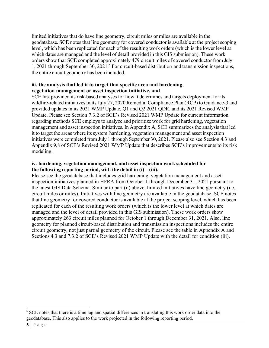limited initiatives that do have line geometry, circuit miles or miles are available in the geodatabase. SCE notes that line geometry for covered conductor is available at the project scoping level, which has been replicated for each of the resulting work orders (which is the lower level at which dates are managed and the level of detail provided in this GIS submission). These work orders show that SCE completed approximately 479 circuit miles of covered conductor from July 1, 2021 through September 30, 2021.<sup>5</sup> For circuit-based distribution and transmission inspections, the entire circuit geometry has been included.

#### **iii. the analysis that led it to target that specific area and hardening, vegetation management or asset inspection initiative, and**

SCE first provided its risk-based analyses for how it determines and targets deployment for its wildfire-related initiatives in its July 27, 2020 Remedial Compliance Plan (RCP) to Guidance-3 and provided updates in its 2021 WMP Update, Q1 and Q2 2021 QDR, and its 2021 Revised WMP Update. Please see Section 7.3.2 of SCE's Revised 2021 WMP Update for current information regarding methods SCE employs to analyze and prioritize work for grid hardening, vegetation management and asset inspection initiatives. In Appendix A, SCE summarizes the analysis that led it to target the areas where its system hardening, vegetation management and asset inspection initiatives were completed from July 1 through September 30, 2021. Please also see Section 4.3 and Appendix 9.8 of SCE's Revised 2021 WMP Update that describes SCE's improvements to its risk modeling.

#### **iv. hardening, vegetation management, and asset inspection work scheduled for the following reporting period, with the detail in (i) – (iii).**

Please see the geodatabase that includes grid hardening, vegetation management and asset inspection initiatives planned in HFRA from October 1 through December 31, 2021 pursuant to the latest GIS Data Schema. Similar to part (ii) above, limited initiatives have line geometry (i.e., circuit miles or miles). Initiatives with line geometry are available in the geodatabase. SCE notes that line geometry for covered conductor is available at the project scoping level, which has been replicated for each of the resulting work orders (which is the lower level at which dates are managed and the level of detail provided in this GIS submission). These work orders show approximately 263 circuit miles planned for October 1 through December 31, 2021. Also, line geometry for planned circuit-based distribution and transmission inspections includes the entire circuit geometry, not just partial geometry of the circuit. Please see the table in Appendix A and Sections 4.3 and 7.3.2 of SCE's Revised 2021 WMP Update with the detail for condition (iii).

 $<sup>5</sup>$  SCE notes that there is a time lag and spatial differences in translating this work order data into the</sup> geodatabase. This also applies to the work projected in the following reporting period.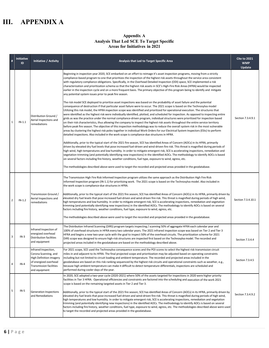## **III. APPENDIX A**

#### **Appendix A Analysis That Led SCE To Target Specific Areas for Initiatives in 2021**

| $\#$           | <b>Initiative</b><br>ID | Initiative / Activity                                                                                                                               | Analysis that Led to Target Specific Area                                                                                                                                                                                                                                                                                                                                                                                                                                                                                                                                                                                                                                                                                                                                                                                                                                                                                                                                                                                                                                                                                                                                                                                                                                                                                                                                                                                                                                                                                                                                                                                                                                                                                                                                                                                                                                                                                                                                                                                                                                                                                                                                                                                                                                                                                                                                                                                                                                                                                                                                                                                                                                                                                                               | <b>Cite to 2021</b><br><b>WMP</b><br>Update |
|----------------|-------------------------|-----------------------------------------------------------------------------------------------------------------------------------------------------|---------------------------------------------------------------------------------------------------------------------------------------------------------------------------------------------------------------------------------------------------------------------------------------------------------------------------------------------------------------------------------------------------------------------------------------------------------------------------------------------------------------------------------------------------------------------------------------------------------------------------------------------------------------------------------------------------------------------------------------------------------------------------------------------------------------------------------------------------------------------------------------------------------------------------------------------------------------------------------------------------------------------------------------------------------------------------------------------------------------------------------------------------------------------------------------------------------------------------------------------------------------------------------------------------------------------------------------------------------------------------------------------------------------------------------------------------------------------------------------------------------------------------------------------------------------------------------------------------------------------------------------------------------------------------------------------------------------------------------------------------------------------------------------------------------------------------------------------------------------------------------------------------------------------------------------------------------------------------------------------------------------------------------------------------------------------------------------------------------------------------------------------------------------------------------------------------------------------------------------------------------------------------------------------------------------------------------------------------------------------------------------------------------------------------------------------------------------------------------------------------------------------------------------------------------------------------------------------------------------------------------------------------------------------------------------------------------------------------------------------------------|---------------------------------------------|
| 1              | $IN-1.1$                | Distribution Ground /<br>Aerial Inspections and<br>remediations                                                                                     | Beginning in inspection year 2020, SCE embarked on an effort to reimage it's asset inspection programs, moving from a strictly<br>compliance-based program to one that prioritizes the inspection of the highest risk assets throughout the service area consistent<br>with regulatory compliance obligations. Specifically, in the Overhead Detailed Inspection (ODI) space, SCE implemented a risk<br>characterization and prioritization schema so that the highest risk assets in SCE's High-Fire Risk Areas (HFRA) would be inspected<br>earlier in the inspection cycle and on a more frequent basis. The primary objective of this program being to identify and mitigate<br>any potential system issues prior to peak fire season.<br>The risk model SCE deployed to prioritize asset inspections was based on the probability of asset failure and the potential<br>consequence of destruction if that particular asset failure were to occur. The 2021 scope is based on the Technosylva model<br>Utilizing this risk model, the HFRA inspection scope was identified and prioritized for operational execution. The structures that<br>were identified as the highest risk were individually identified, plotted, and scheduled for inspection. As opposed to inspecting entire<br>grids as was the practice under the normal compliance-driven program, individual structures were prioritized for inspection based<br>on their risk characteristics, thus allowing the company to inspect the highest risk assets throughout the entire service territory<br>before peak fire season. The objective of this inspection methodology was to reduce the overall system risk in the most vulnerable<br>areas by clustering the highest risk poles together in individual Work Orders for our Electrical System Inspectors (ESIs) to perform<br>detailed inspections. Also included in the work scope is compliance-due structures in HFRA.<br>Additionally, prior to the typical start of the 2021 fire season, SCE has identified Areas of Concern (AOCs) in its HFRA, primarily<br>driven by elevated dry fuel levels that pose increased fuel-driven and wind-driven fire risk. This threat is magnified during periods of<br>high wind, high temperatures and low humidity. In order to mitigate emergent risk, SCE is accelerating inspections, remediation and<br>vegetation trimming (and potentially identifying new inspections) in the identified AOCs. The methodology to identify AOCs is based<br>on several factors including fire history, weather conditions, fuel type, exposure to wind, egress, etc.<br>The methodologies described above were used to target the recorded and projected areas provided in the geodatabase. | Section 7.3.4.9.1                           |
| $\overline{2}$ | $IN-1.2$                | Transmission Ground /<br>Aerial Inspections and<br>remediations                                                                                     | The Transmission High Fire Risk Informed Inspection program utilizes the same approach as the Distribution High Fire Risk<br>Informed Inspection program (IN-1.1) for prioritizing work. The 2021 scope is based on the Technosylva model. Also included in<br>the work scope is compliance-due structures in HFRA.<br>Additionally, prior to the typical start of the 2021 fire season, SCE has identified Areas of Concern (AOCs) in its HFRA, primarily driven by<br>elevated dry fuel levels that pose increased fuel-driven and wind-driven fire risk. This threat is magnified during periods of high wind,<br>high temperatures and low humidity. In order to mitigate emergent risk, SCE is accelerating inspections, remediation and vegetation<br>trimming (and potentially identifying new inspections) in the identified AOCs. The methodology to identify AOCs is based on several<br>factors including fire history, weather conditions, fuel type, exposure to wind, egress, etc.<br>The methodologies described above were used to target the recorded and projected areas provided in the geodatabase.                                                                                                                                                                                                                                                                                                                                                                                                                                                                                                                                                                                                                                                                                                                                                                                                                                                                                                                                                                                                                                                                                                                                                                                                                                                                                                                                                                                                                                                                                                                                                                                                                                 | Section 7.3.4.10.1                          |
| 3              | $IN-3$                  | Infrared Inspection of<br>energized overhead<br><b>Distribution facilities</b><br>and equipment                                                     | The Distribution Infrared Scanning (DIRS) program targets inspecting / scanning 50% of aggregate HFRA each calendar year and<br>100% of overhead structures in HFRA every two calendar years. The 2021 infrared inspection scope was based on Tier 2 and Tier 3<br>HFRA and begins a new two-year cycle with the goal to inspect 50% of the overhead circuits. The prioritization scheme for 2021<br>DIRS scope was designed to ensure high-risk structures are inspected first based on the Technosylva model. The recorded and<br>projected areas included in the geodatabase are based on the methodology described above.                                                                                                                                                                                                                                                                                                                                                                                                                                                                                                                                                                                                                                                                                                                                                                                                                                                                                                                                                                                                                                                                                                                                                                                                                                                                                                                                                                                                                                                                                                                                                                                                                                                                                                                                                                                                                                                                                                                                                                                                                                                                                                                           | Section 7.3.4.4                             |
| 4              | $IN-4$                  | Infrared Inspection,<br>Corona Scanning, and<br><b>High Definition imagery</b><br>of energized overhead<br>Transmission facilities<br>and equipment | For 2021 scope, SCE used the Technosylva consequence scores and the POI scores to select the highest risk transmission circuit<br>miles in and adjacent to its HFRA. The final projected scope and prioritization may be adjusted based on operating constraints<br>including but not limited to circuit loading and ambient temperature. The recorded and projected areas included in the<br>geodatabase are based on this risk-ranking sequenced by the highest risk circuits and operational constraints such as weather, e.g.,<br>because high ambient temperature can make it difficult to detect temperature differentials, inspections are scheduled and<br>performed during cooler days of the year.                                                                                                                                                                                                                                                                                                                                                                                                                                                                                                                                                                                                                                                                                                                                                                                                                                                                                                                                                                                                                                                                                                                                                                                                                                                                                                                                                                                                                                                                                                                                                                                                                                                                                                                                                                                                                                                                                                                                                                                                                                            | Section 7.3.4.5                             |
| 5              | $IN-5$                  | <b>Generation Inspections</b><br>and Remediations                                                                                                   | In 2020, SCE adopted a two-year cycle (2020-2021) where 50% of the assets targeted for inspections in 2020 were higher priority<br>facilities in Tier 3 HFRA. Operational efficiencies and constraints are factored into the scheduling and execution of the work 2021<br>scope is based on the remaining targeted assets in Tier 2 and Tier 3.<br>Additionally, prior to the typical start of the 2021 fire season, SCE has identified Areas of Concern (AOCs) in its HFRA, primarily driven by<br>elevated dry fuel levels that pose increased fuel-driven and wind-driven fire risk. This threat is magnified during periods of high wind,<br>high temperatures and low humidity. In order to mitigate emergent risk, SCE is accelerating inspections, remediation and vegetation<br>trimming (and potentially identifying new inspections) in the identified AOCs. The methodology to identify AOCs is based on several<br>factors including fire history, weather conditions, fuel type, exposure to wind, egress, etc. The methodologies described above were used<br>to target the recorded and projected areas provided in the geodatabase.                                                                                                                                                                                                                                                                                                                                                                                                                                                                                                                                                                                                                                                                                                                                                                                                                                                                                                                                                                                                                                                                                                                                                                                                                                                                                                                                                                                                                                                                                                                                                                                                     | Section 7.3.4.9.2                           |